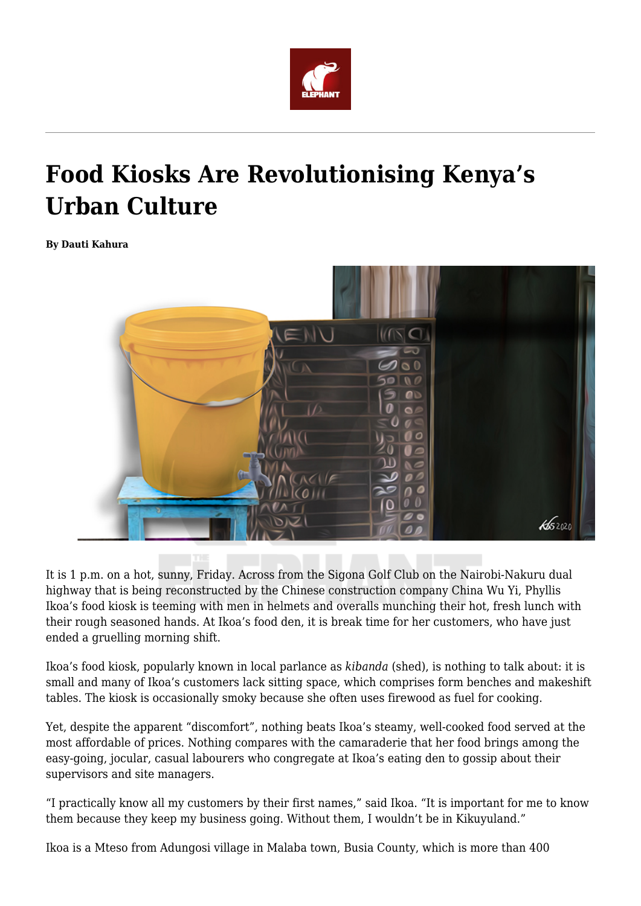

## **Food Kiosks Are Revolutionising Kenya's Urban Culture**

**By Dauti Kahura**



It is 1 p.m. on a hot, sunny, Friday. Across from the Sigona Golf Club on the Nairobi-Nakuru dual highway that is being reconstructed by the Chinese construction company China Wu Yi, Phyllis Ikoa's food kiosk is teeming with men in helmets and overalls munching their hot, fresh lunch with their rough seasoned hands. At Ikoa's food den, it is break time for her customers, who have just ended a gruelling morning shift.

Ikoa's food kiosk, popularly known in local parlance as *kibanda* (shed), is nothing to talk about: it is small and many of Ikoa's customers lack sitting space, which comprises form benches and makeshift tables. The kiosk is occasionally smoky because she often uses firewood as fuel for cooking.

Yet, despite the apparent "discomfort", nothing beats Ikoa's steamy, well-cooked food served at the most affordable of prices. Nothing compares with the camaraderie that her food brings among the easy-going, jocular, casual labourers who congregate at Ikoa's eating den to gossip about their supervisors and site managers.

"I practically know all my customers by their first names," said Ikoa. "It is important for me to know them because they keep my business going. Without them, I wouldn't be in Kikuyuland."

Ikoa is a Mteso from Adungosi village in Malaba town, Busia County, which is more than 400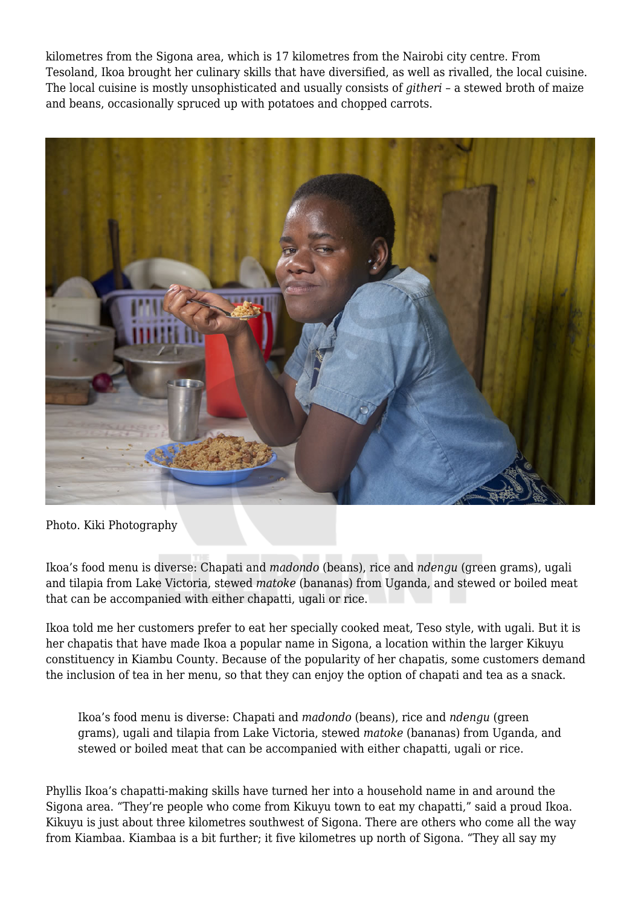kilometres from the Sigona area, which is 17 kilometres from the Nairobi city centre. From Tesoland, Ikoa brought her culinary skills that have diversified, as well as rivalled, the local cuisine. The local cuisine is mostly unsophisticated and usually consists of *githeri* – a stewed broth of maize and beans, occasionally spruced up with potatoes and chopped carrots.



Photo. Kiki Photography

Ikoa's food menu is diverse: Chapati and *madondo* (beans), rice and *ndengu* (green grams), ugali and tilapia from Lake Victoria, stewed *matoke* (bananas) from Uganda, and stewed or boiled meat that can be accompanied with either chapatti, ugali or rice.

Ikoa told me her customers prefer to eat her specially cooked meat, Teso style, with ugali. But it is her chapatis that have made Ikoa a popular name in Sigona, a location within the larger Kikuyu constituency in Kiambu County. Because of the popularity of her chapatis, some customers demand the inclusion of tea in her menu, so that they can enjoy the option of chapati and tea as a snack.

Ikoa's food menu is diverse: Chapati and *madondo* (beans), rice and *ndengu* (green grams), ugali and tilapia from Lake Victoria, stewed *matoke* (bananas) from Uganda, and stewed or boiled meat that can be accompanied with either chapatti, ugali or rice.

Phyllis Ikoa's chapatti-making skills have turned her into a household name in and around the Sigona area. "They're people who come from Kikuyu town to eat my chapatti," said a proud Ikoa. Kikuyu is just about three kilometres southwest of Sigona. There are others who come all the way from Kiambaa. Kiambaa is a bit further; it five kilometres up north of Sigona. "They all say my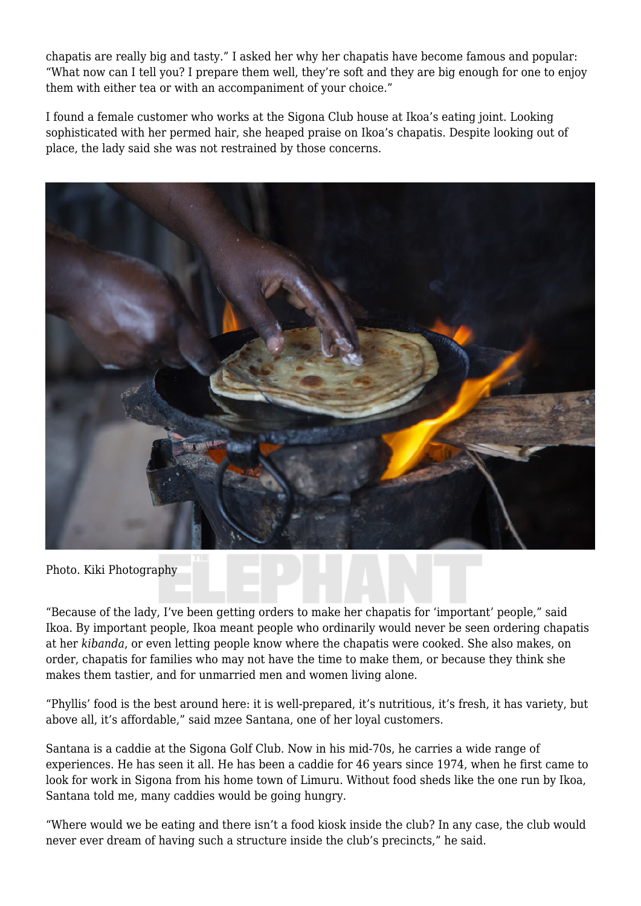chapatis are really big and tasty." I asked her why her chapatis have become famous and popular: "What now can I tell you? I prepare them well, they're soft and they are big enough for one to enjoy them with either tea or with an accompaniment of your choice."

I found a female customer who works at the Sigona Club house at Ikoa's eating joint. Looking sophisticated with her permed hair, she heaped praise on Ikoa's chapatis. Despite looking out of place, the lady said she was not restrained by those concerns.



Photo. Kiki Photography

"Because of the lady, I've been getting orders to make her chapatis for 'important' people," said Ikoa. By important people, Ikoa meant people who ordinarily would never be seen ordering chapatis at her *kibanda*, or even letting people know where the chapatis were cooked. She also makes, on order, chapatis for families who may not have the time to make them, or because they think she makes them tastier, and for unmarried men and women living alone.

"Phyllis' food is the best around here: it is well-prepared, it's nutritious, it's fresh, it has variety, but above all, it's affordable," said mzee Santana, one of her loyal customers.

Santana is a caddie at the Sigona Golf Club. Now in his mid-70s, he carries a wide range of experiences. He has seen it all. He has been a caddie for 46 years since 1974, when he first came to look for work in Sigona from his home town of Limuru. Without food sheds like the one run by Ikoa, Santana told me, many caddies would be going hungry.

"Where would we be eating and there isn't a food kiosk inside the club? In any case, the club would never ever dream of having such a structure inside the club's precincts," he said.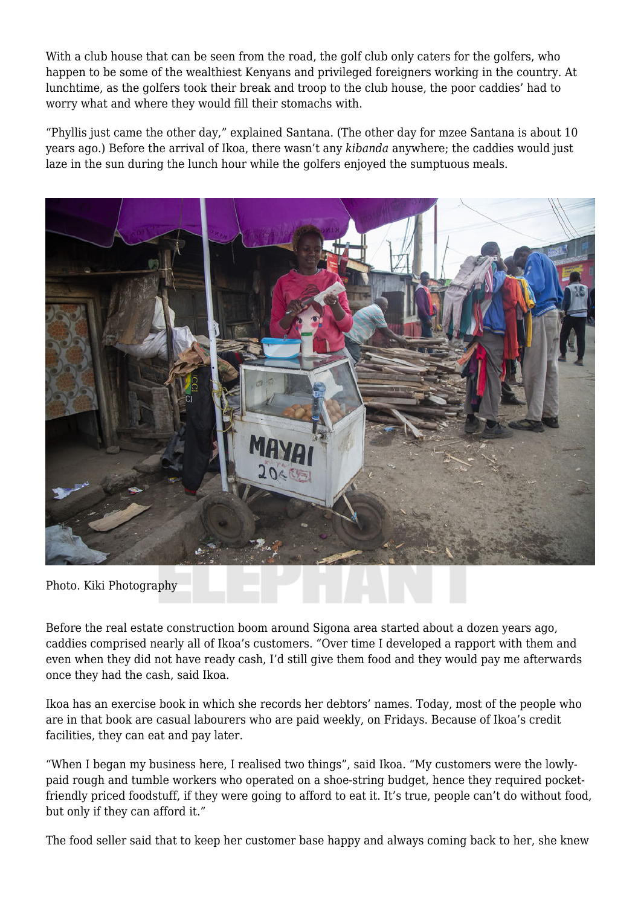With a club house that can be seen from the road, the golf club only caters for the golfers, who happen to be some of the wealthiest Kenyans and privileged foreigners working in the country. At lunchtime, as the golfers took their break and troop to the club house, the poor caddies' had to worry what and where they would fill their stomachs with.

"Phyllis just came the other day," explained Santana. (The other day for mzee Santana is about 10 years ago.) Before the arrival of Ikoa, there wasn't any *kibanda* anywhere; the caddies would just laze in the sun during the lunch hour while the golfers enjoyed the sumptuous meals.



Photo. Kiki Photography

Before the real estate construction boom around Sigona area started about a dozen years ago, caddies comprised nearly all of Ikoa's customers. "Over time I developed a rapport with them and even when they did not have ready cash, I'd still give them food and they would pay me afterwards once they had the cash, said Ikoa.

Ikoa has an exercise book in which she records her debtors' names. Today, most of the people who are in that book are casual labourers who are paid weekly, on Fridays. Because of Ikoa's credit facilities, they can eat and pay later.

"When I began my business here, I realised two things", said Ikoa. "My customers were the lowlypaid rough and tumble workers who operated on a shoe-string budget, hence they required pocketfriendly priced foodstuff, if they were going to afford to eat it. It's true, people can't do without food, but only if they can afford it."

The food seller said that to keep her customer base happy and always coming back to her, she knew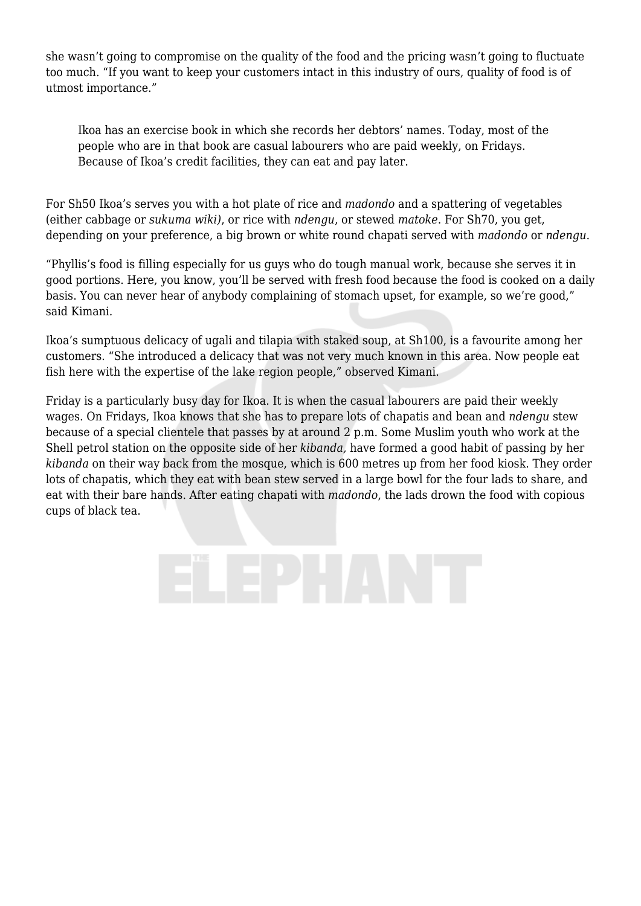she wasn't going to compromise on the quality of the food and the pricing wasn't going to fluctuate too much. "If you want to keep your customers intact in this industry of ours, quality of food is of utmost importance."

Ikoa has an exercise book in which she records her debtors' names. Today, most of the people who are in that book are casual labourers who are paid weekly, on Fridays. Because of Ikoa's credit facilities, they can eat and pay later.

For Sh50 Ikoa's serves you with a hot plate of rice and *madondo* and a spattering of vegetables (either cabbage or *sukuma wiki)*, or rice with *ndengu*, or stewed *matoke*. For Sh70, you get, depending on your preference, a big brown or white round chapati served with *madondo* or *ndengu*.

"Phyllis's food is filling especially for us guys who do tough manual work, because she serves it in good portions. Here, you know, you'll be served with fresh food because the food is cooked on a daily basis. You can never hear of anybody complaining of stomach upset, for example, so we're good," said Kimani.

Ikoa's sumptuous delicacy of ugali and tilapia with staked soup, at Sh100, is a favourite among her customers. "She introduced a delicacy that was not very much known in this area. Now people eat fish here with the expertise of the lake region people," observed Kimani.

Friday is a particularly busy day for Ikoa. It is when the casual labourers are paid their weekly wages. On Fridays, Ikoa knows that she has to prepare lots of chapatis and bean and *ndengu* stew because of a special clientele that passes by at around 2 p.m. Some Muslim youth who work at the Shell petrol station on the opposite side of her *kibanda,* have formed a good habit of passing by her *kibanda* on their way back from the mosque, which is 600 metres up from her food kiosk. They order lots of chapatis, which they eat with bean stew served in a large bowl for the four lads to share, and eat with their bare hands. After eating chapati with *madondo*, the lads drown the food with copious cups of black tea.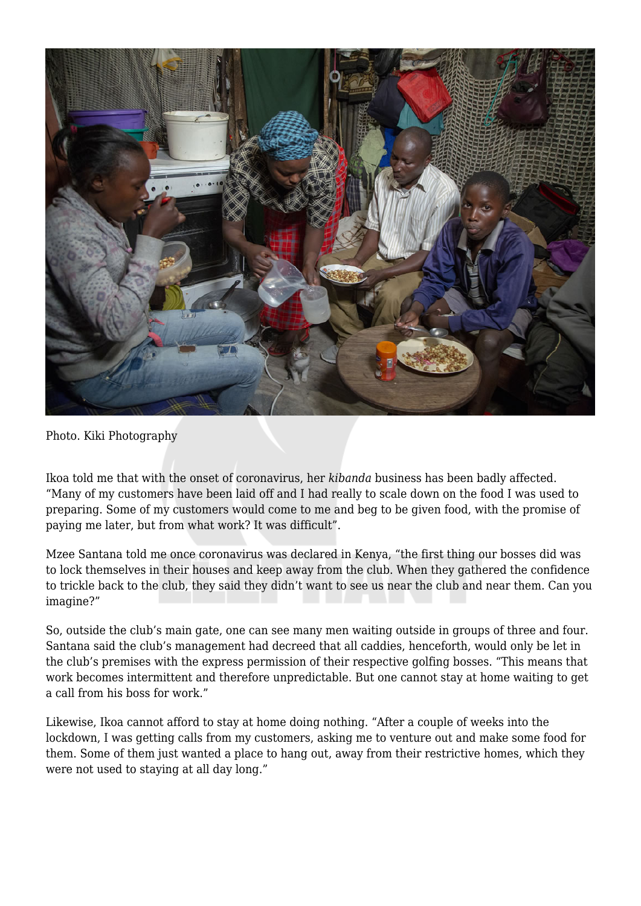

Photo. Kiki Photography

Ikoa told me that with the onset of coronavirus, her *kibanda* business has been badly affected. "Many of my customers have been laid off and I had really to scale down on the food I was used to preparing. Some of my customers would come to me and beg to be given food, with the promise of paying me later, but from what work? It was difficult".

Mzee Santana told me once coronavirus was declared in Kenya, "the first thing our bosses did was to lock themselves in their houses and keep away from the club. When they gathered the confidence to trickle back to the club, they said they didn't want to see us near the club and near them. Can you imagine?"

So, outside the club's main gate, one can see many men waiting outside in groups of three and four. Santana said the club's management had decreed that all caddies, henceforth, would only be let in the club's premises with the express permission of their respective golfing bosses. "This means that work becomes intermittent and therefore unpredictable. But one cannot stay at home waiting to get a call from his boss for work."

Likewise, Ikoa cannot afford to stay at home doing nothing. "After a couple of weeks into the lockdown, I was getting calls from my customers, asking me to venture out and make some food for them. Some of them just wanted a place to hang out, away from their restrictive homes, which they were not used to staying at all day long."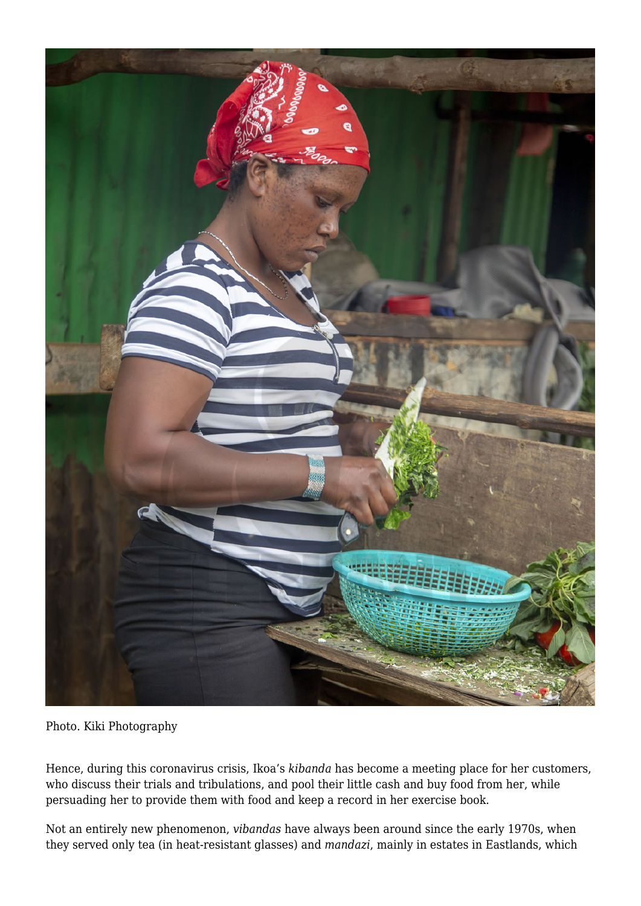

Photo. Kiki Photography

Hence, during this coronavirus crisis, Ikoa's *kibanda* has become a meeting place for her customers, who discuss their trials and tribulations, and pool their little cash and buy food from her, while persuading her to provide them with food and keep a record in her exercise book.

Not an entirely new phenomenon, *vibandas* have always been around since the early 1970s, when they served only tea (in heat-resistant glasses) and *mandazi*, mainly in estates in Eastlands, which